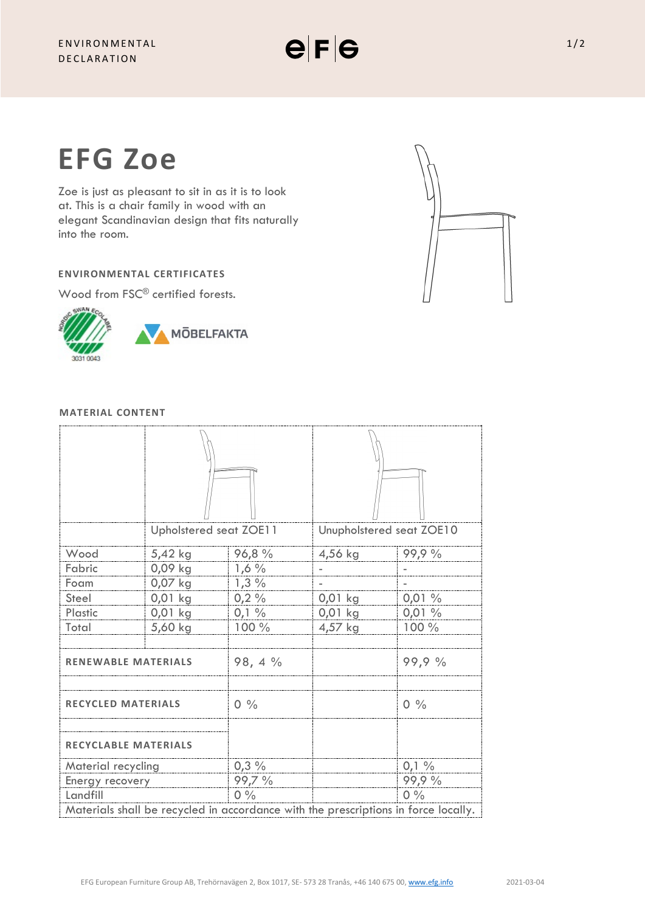

Zoe is just as pleasant to sit in as it is to look at. This is a chair family in wood with an elegant Scandinavian design that fits naturally into the room.

# **ENVIRONMENTAL CERTIFICATES**

Wood from FSC<sup>®</sup> certified forests.



# **MATERIAL CONTENT**

|                                                                                    | Upholstered seat ZOE11 |         | Unupholstered seat ZOE10 |                |
|------------------------------------------------------------------------------------|------------------------|---------|--------------------------|----------------|
| Wood                                                                               | 5,42 kg                | 96,8%   | 4,56 kg                  | 99,9 %         |
| Fabric                                                                             | 0,09 kg                | $1,6\%$ |                          |                |
| Foam                                                                               | $0,07$ kg              | 1,3%    |                          |                |
| Steel                                                                              | $0,01$ kg              | 0,2%    | $0,01$ kg                | 0,01%          |
| Plastic                                                                            | 0,01 kg                | $0,1\%$ | 0,01 kg                  | 0,01%          |
| Total                                                                              | 5,60 kg                | 100 %   | 4,57 kg                  | 100 %          |
| <b>RENEWABLE MATERIALS</b>                                                         |                        | 98, 4 % |                          | 99,9 %         |
| <b>RECYCLED MATERIALS</b>                                                          |                        | $0\%$   |                          | $0\frac{9}{6}$ |
| <b>RECYCLABLE MATERIALS</b>                                                        |                        |         |                          |                |
| Material recycling                                                                 |                        | $0,3\%$ |                          | $0,1\%$        |
| Energy recovery                                                                    |                        | 99,7 %  |                          | 99,9%          |
| Landfill                                                                           |                        | $0\%$   |                          | $0\%$          |
| Materials shall be recycled in accordance with the prescriptions in force locally. |                        |         |                          |                |